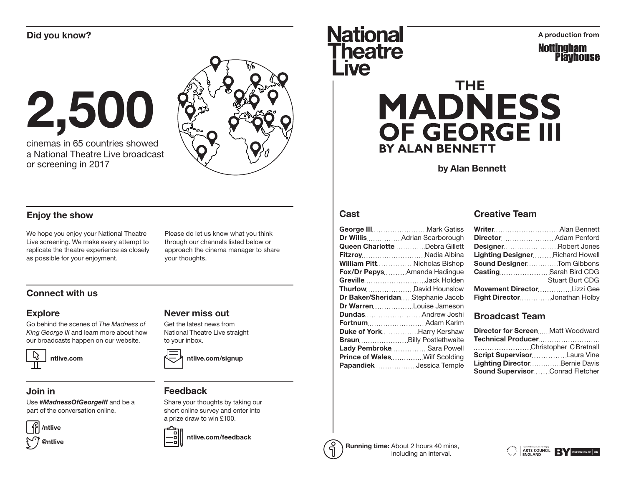

cinemas in 65 countries showed a National Theatre Live broadcast or screening in 2017



### Enjoy the show

We hope you enjoy your National Theatre Live screening. We make every attempt to replicate the theatre experience as closely as possible for your enjoyment.

Please do let us know what you think through our channels listed below or approach the cinema manager to share your thoughts.

### Connect with us

#### Explore

Go behind the scenes of *The Madness of King George III* and learn more about how our broadcasts happen on our website.



### Join in

Use #*MadnessOfGeorgeIII* and be a part of the conversation online.





## Get the latest news from

Never miss out

National Theatre Live straight to your inbox.



#### Feedback

Share your thoughts by taking our short online survey and enter into a prize draw to win £100.



ntlive.com/feedback

# Did you know?<br>
Mational Aproduction from **Theatre** *ive*



# **THE MADNESS** OF GEORGE III **BY ALAN BENNETT**

by Alan Bennett

#### **Cast**

| George III Mark Gatiss              |
|-------------------------------------|
| Dr WillisAdrian Scarborough         |
| Queen CharlotteDebra Gillett        |
| FitzroyNadia Albina                 |
| <b>William PittNicholas Bishop</b>  |
| Fox/Dr PepysAmanda Hadingue         |
| GrevilleJack Holden                 |
|                                     |
| Dr Baker/SheridanStephanie Jacob    |
| Dr Warren Louise Jameson            |
| <b>Dundas Andrew Joshi</b>          |
| Fortnum Adam Karim                  |
| Duke of YorkHarry Kershaw           |
| Braun Billy Postlethwaite           |
| Lady PembrokeSara Powell            |
| <b>Prince of WalesWilf Scolding</b> |
| Papandiek  Jessica Temple           |
|                                     |

#### Creative Team

| Writer Alan Bennett             |                        |
|---------------------------------|------------------------|
| Director Adam Penford           |                        |
| DesignerRobert Jones            |                        |
| Lighting DesignerRichard Howell |                        |
| Sound DesignerTom Gibbons       |                        |
| Casting Sarah Bird CDG          |                        |
|                                 | <b>Stuart Burt CDG</b> |
| Movement DirectorLizzi Gee      |                        |
| Fight DirectorJonathan Holby    |                        |

### Broadcast Team

| <b>Director for ScreenMatt Woodward</b> |  |
|-----------------------------------------|--|
| Technical Producer                      |  |
| Christopher C Bretnall                  |  |
| <b>Script SupervisorLaura Vine</b>      |  |
| Lighting DirectorBernie Davis           |  |
| Sound SupervisorConrad Fletcher         |  |



Running time: About 2 hours 40 mins, including an interval.